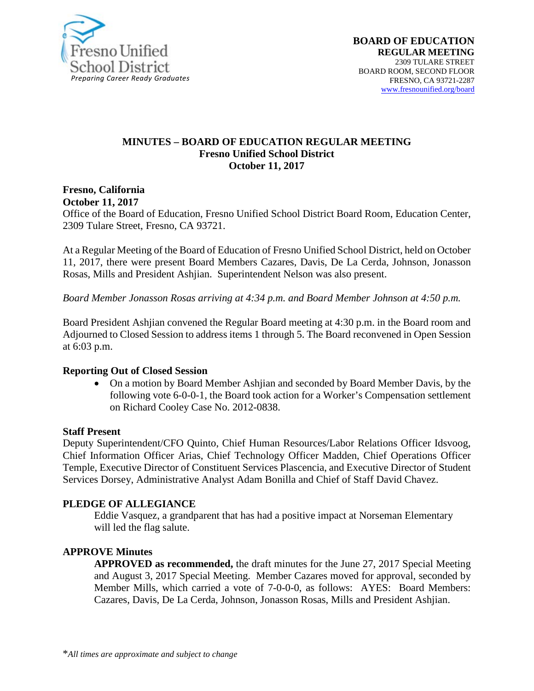

#### **MINUTES – BOARD OF EDUCATION REGULAR MEETING Fresno Unified School District October 11, 2017**

# **Fresno, California**

**October 11, 2017** 

Office of the Board of Education, Fresno Unified School District Board Room, Education Center, 2309 Tulare Street, Fresno, CA 93721.

At a Regular Meeting of the Board of Education of Fresno Unified School District, held on October 11, 2017, there were present Board Members Cazares, Davis, De La Cerda, Johnson, Jonasson Rosas, Mills and President Ashjian. Superintendent Nelson was also present.

*Board Member Jonasson Rosas arriving at 4:34 p.m. and Board Member Johnson at 4:50 p.m.*

Board President Ashjian convened the Regular Board meeting at 4:30 p.m. in the Board room and Adjourned to Closed Session to address items 1 through 5. The Board reconvened in Open Session at 6:03 p.m.

#### **Reporting Out of Closed Session**

• On a motion by Board Member Ashjian and seconded by Board Member Davis, by the following vote 6-0-0-1, the Board took action for a Worker's Compensation settlement on Richard Cooley Case No. 2012-0838.

#### **Staff Present**

Deputy Superintendent/CFO Quinto, Chief Human Resources/Labor Relations Officer Idsvoog, Chief Information Officer Arias, Chief Technology Officer Madden, Chief Operations Officer Temple, Executive Director of Constituent Services Plascencia, and Executive Director of Student Services Dorsey, Administrative Analyst Adam Bonilla and Chief of Staff David Chavez.

#### **PLEDGE OF ALLEGIANCE**

Eddie Vasquez, a grandparent that has had a positive impact at Norseman Elementary will led the flag salute.

#### **APPROVE Minutes**

**APPROVED as recommended,** the draft minutes for the June 27, 2017 Special Meeting and August 3, 2017 Special Meeting. Member Cazares moved for approval, seconded by Member Mills, which carried a vote of 7-0-0-0, as follows: AYES: Board Members: Cazares, Davis, De La Cerda, Johnson, Jonasson Rosas, Mills and President Ashjian.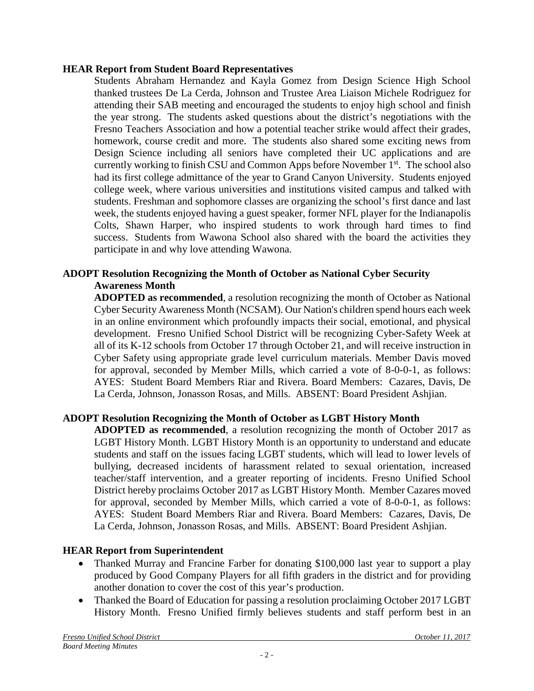#### **HEAR Report from Student Board Representatives**

Students Abraham Hernandez and Kayla Gomez from Design Science High School thanked trustees De La Cerda, Johnson and Trustee Area Liaison Michele Rodriguez for attending their SAB meeting and encouraged the students to enjoy high school and finish the year strong. The students asked questions about the district's negotiations with the Fresno Teachers Association and how a potential teacher strike would affect their grades, homework, course credit and more. The students also shared some exciting news from Design Science including all seniors have completed their UC applications and are currently working to finish CSU and Common Apps before November 1<sup>st</sup>. The school also had its first college admittance of the year to Grand Canyon University. Students enjoyed college week, where various universities and institutions visited campus and talked with students. Freshman and sophomore classes are organizing the school's first dance and last week, the students enjoyed having a guest speaker, former NFL player for the Indianapolis Colts, Shawn Harper, who inspired students to work through hard times to find success. Students from Wawona School also shared with the board the activities they participate in and why love attending Wawona.

## **ADOPT Resolution Recognizing the Month of October as National Cyber Security Awareness Month**

**ADOPTED as recommended**, a resolution recognizing the month of October as National Cyber Security Awareness Month (NCSAM). Our Nation's children spend hours each week in an online environment which profoundly impacts their social, emotional, and physical development. Fresno Unified School District will be recognizing Cyber-Safety Week at all of its K-12 schools from October 17 through October 21, and will receive instruction in Cyber Safety using appropriate grade level curriculum materials. Member Davis moved for approval, seconded by Member Mills, which carried a vote of 8-0-0-1, as follows: AYES: Student Board Members Riar and Rivera. Board Members: Cazares, Davis, De La Cerda, Johnson, Jonasson Rosas, and Mills. ABSENT: Board President Ashjian.

## **ADOPT Resolution Recognizing the Month of October as LGBT History Month**

**ADOPTED as recommended**, a resolution recognizing the month of October 2017 as LGBT History Month. LGBT History Month is an opportunity to understand and educate students and staff on the issues facing LGBT students, which will lead to lower levels of bullying, decreased incidents of harassment related to sexual orientation, increased teacher/staff intervention, and a greater reporting of incidents. Fresno Unified School District hereby proclaims October 2017 as LGBT History Month. Member Cazares moved for approval, seconded by Member Mills, which carried a vote of 8-0-0-1, as follows: AYES: Student Board Members Riar and Rivera. Board Members: Cazares, Davis, De La Cerda, Johnson, Jonasson Rosas, and Mills. ABSENT: Board President Ashjian.

## **HEAR Report from Superintendent**

- Thanked Murray and Francine Farber for donating \$100,000 last year to support a play produced by Good Company Players for all fifth graders in the district and for providing another donation to cover the cost of this year's production.
- Thanked the Board of Education for passing a resolution proclaiming October 2017 LGBT History Month. Fresno Unified firmly believes students and staff perform best in an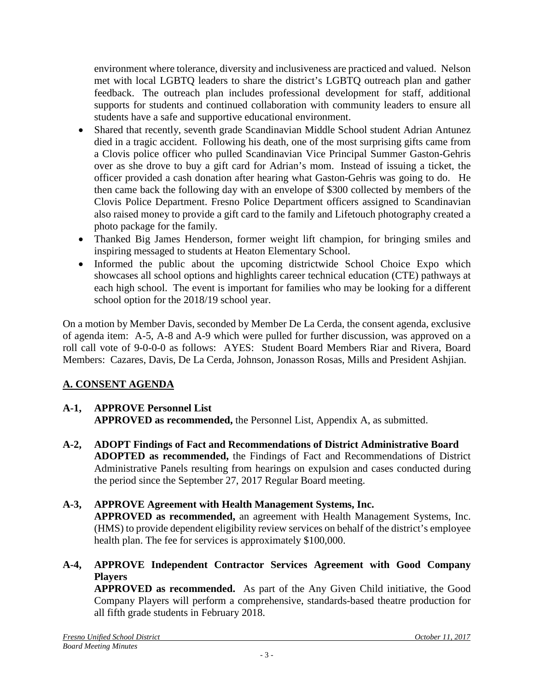environment where tolerance, diversity and inclusiveness are practiced and valued. Nelson met with local LGBTQ leaders to share the district's LGBTQ outreach plan and gather feedback. The outreach plan includes professional development for staff, additional supports for students and continued collaboration with community leaders to ensure all students have a safe and supportive educational environment.

- Shared that recently, seventh grade Scandinavian Middle School student Adrian Antunez died in a tragic accident. Following his death, one of the most surprising gifts came from a Clovis police officer who pulled Scandinavian Vice Principal Summer Gaston-Gehris over as she drove to buy a gift card for Adrian's mom. Instead of issuing a ticket, the officer provided a cash donation after hearing what Gaston-Gehris was going to do. He then came back the following day with an envelope of \$300 collected by members of the Clovis Police Department. Fresno Police Department officers assigned to Scandinavian also raised money to provide a gift card to the family and Lifetouch photography created a photo package for the family.
- Thanked Big James Henderson, former weight lift champion, for bringing smiles and inspiring messaged to students at Heaton Elementary School.
- Informed the public about the upcoming districtwide School Choice Expo which showcases all school options and highlights career technical education (CTE) pathways at each high school. The event is important for families who may be looking for a different school option for the 2018/19 school year.

On a motion by Member Davis, seconded by Member De La Cerda, the consent agenda, exclusive of agenda item: A-5, A-8 and A-9 which were pulled for further discussion, was approved on a roll call vote of 9-0-0-0 as follows: AYES: Student Board Members Riar and Rivera, Board Members: Cazares, Davis, De La Cerda, Johnson, Jonasson Rosas, Mills and President Ashjian.

# **A. CONSENT AGENDA**

# **A-1, APPROVE Personnel List**

**APPROVED as recommended,** the Personnel List, Appendix A, as submitted.

**A-2, ADOPT Findings of Fact and Recommendations of District Administrative Board ADOPTED as recommended,** the Findings of Fact and Recommendations of District Administrative Panels resulting from hearings on expulsion and cases conducted during the period since the September 27, 2017 Regular Board meeting.

# **A-3, APPROVE Agreement with Health Management Systems, Inc.**

**APPROVED as recommended,** an agreement with Health Management Systems, Inc. (HMS) to provide dependent eligibility review services on behalf of the district's employee health plan. The fee for services is approximately \$100,000.

## **A-4, APPROVE Independent Contractor Services Agreement with Good Company Players**

**APPROVED as recommended.** As part of the Any Given Child initiative, the Good Company Players will perform a comprehensive, standards-based theatre production for all fifth grade students in February 2018.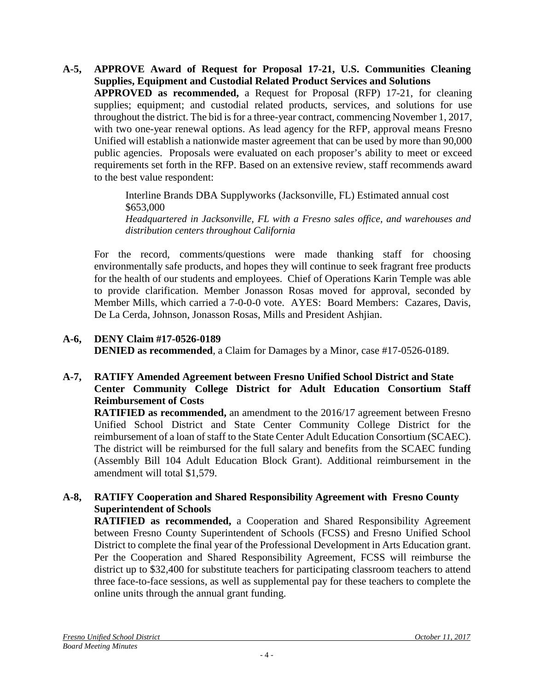**A-5, APPROVE Award of Request for Proposal 17-21, U.S. Communities Cleaning Supplies, Equipment and Custodial Related Product Services and Solutions APPROVED as recommended,** a Request for Proposal (RFP) 17-21, for cleaning supplies; equipment; and custodial related products, services, and solutions for use throughout the district. The bid is for a three-year contract, commencing November 1, 2017, with two one-year renewal options. As lead agency for the RFP, approval means Fresno Unified will establish a nationwide master agreement that can be used by more than 90,000 public agencies. Proposals were evaluated on each proposer's ability to meet or exceed requirements set forth in the RFP. Based on an extensive review, staff recommends award to the best value respondent:

> Interline Brands DBA Supplyworks (Jacksonville, FL) Estimated annual cost \$653,000 *Headquartered in Jacksonville, FL with a Fresno sales office, and warehouses and distribution centers throughout California*

For the record, comments/questions were made thanking staff for choosing environmentally safe products, and hopes they will continue to seek fragrant free products for the health of our students and employees. Chief of Operations Karin Temple was able to provide clarification. Member Jonasson Rosas moved for approval, seconded by Member Mills, which carried a 7-0-0-0 vote. AYES: Board Members: Cazares, Davis, De La Cerda, Johnson, Jonasson Rosas, Mills and President Ashjian.

## **A-6, DENY Claim #17-0526-0189 DENIED as recommended**, a Claim for Damages by a Minor, case #17-0526-0189.

#### **A-7, RATIFY Amended Agreement between Fresno Unified School District and State Center Community College District for Adult Education Consortium Staff Reimbursement of Costs**

**RATIFIED as recommended,** an amendment to the 2016/17 agreement between Fresno Unified School District and State Center Community College District for the reimbursement of a loan of staff to the State Center Adult Education Consortium (SCAEC). The district will be reimbursed for the full salary and benefits from the SCAEC funding (Assembly Bill 104 Adult Education Block Grant). Additional reimbursement in the amendment will total \$1,579.

## **A-8, RATIFY Cooperation and Shared Responsibility Agreement with Fresno County Superintendent of Schools**

**RATIFIED as recommended,** a Cooperation and Shared Responsibility Agreement between Fresno County Superintendent of Schools (FCSS) and Fresno Unified School District to complete the final year of the Professional Development in Arts Education grant. Per the Cooperation and Shared Responsibility Agreement, FCSS will reimburse the district up to \$32,400 for substitute teachers for participating classroom teachers to attend three face-to-face sessions, as well as supplemental pay for these teachers to complete the online units through the annual grant funding.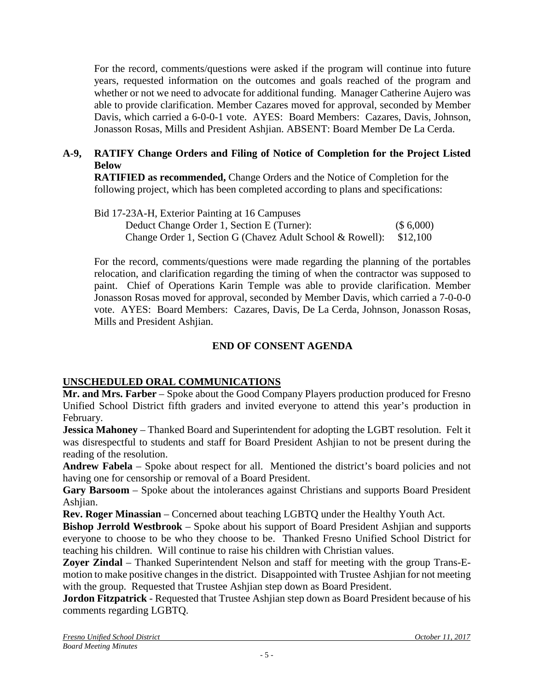For the record, comments/questions were asked if the program will continue into future years, requested information on the outcomes and goals reached of the program and whether or not we need to advocate for additional funding. Manager Catherine Aujero was able to provide clarification. Member Cazares moved for approval, seconded by Member Davis, which carried a 6-0-0-1 vote. AYES: Board Members: Cazares, Davis, Johnson, Jonasson Rosas, Mills and President Ashjian. ABSENT: Board Member De La Cerda.

## **A-9, RATIFY Change Orders and Filing of Notice of Completion for the Project Listed Below**

**RATIFIED as recommended,** Change Orders and the Notice of Completion for the following project, which has been completed according to plans and specifications:

Bid 17-23A-H, Exterior Painting at 16 Campuses Deduct Change Order 1, Section E (Turner): (\$ 6,000) Change Order 1, Section G (Chavez Adult School & Rowell): \$12,100

For the record, comments/questions were made regarding the planning of the portables relocation, and clarification regarding the timing of when the contractor was supposed to paint. Chief of Operations Karin Temple was able to provide clarification. Member Jonasson Rosas moved for approval, seconded by Member Davis, which carried a 7-0-0-0 vote. AYES: Board Members: Cazares, Davis, De La Cerda, Johnson, Jonasson Rosas, Mills and President Ashjian.

## **END OF CONSENT AGENDA**

## **UNSCHEDULED ORAL COMMUNICATIONS**

**Mr. and Mrs. Farber** – Spoke about the Good Company Players production produced for Fresno Unified School District fifth graders and invited everyone to attend this year's production in February.

**Jessica Mahoney** – Thanked Board and Superintendent for adopting the LGBT resolution. Felt it was disrespectful to students and staff for Board President Ashjian to not be present during the reading of the resolution.

**Andrew Fabela** – Spoke about respect for all. Mentioned the district's board policies and not having one for censorship or removal of a Board President.

**Gary Barsoom** – Spoke about the intolerances against Christians and supports Board President Ashjian.

**Rev. Roger Minassian** – Concerned about teaching LGBTQ under the Healthy Youth Act.

**Bishop Jerrold Westbrook** – Spoke about his support of Board President Ashjian and supports everyone to choose to be who they choose to be. Thanked Fresno Unified School District for teaching his children. Will continue to raise his children with Christian values.

**Zoyer Zindal** – Thanked Superintendent Nelson and staff for meeting with the group Trans-Emotion to make positive changes in the district. Disappointed with Trustee Ashjian for not meeting with the group. Requested that Trustee Ashjian step down as Board President.

**Jordon Fitzpatrick** - Requested that Trustee Ashjian step down as Board President because of his comments regarding LGBTQ.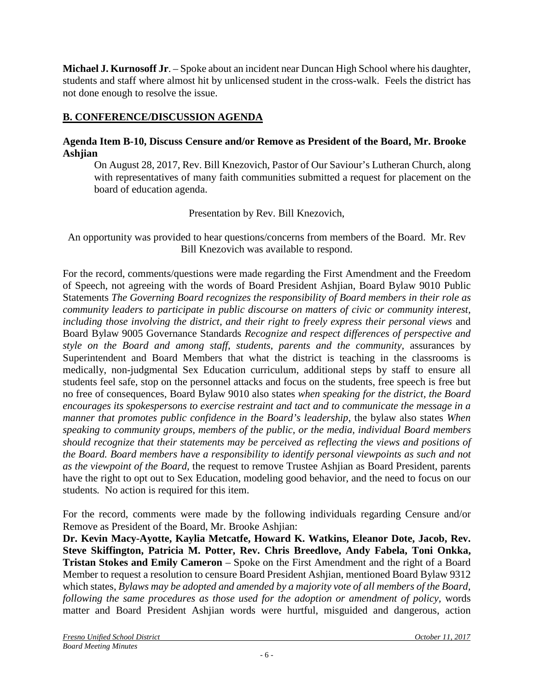**Michael J. Kurnosoff Jr**. – Spoke about an incident near Duncan High School where his daughter, students and staff where almost hit by unlicensed student in the cross-walk. Feels the district has not done enough to resolve the issue.

## **B. CONFERENCE/DISCUSSION AGENDA**

#### **Agenda Item B-10, Discuss Censure and/or Remove as President of the Board, Mr. Brooke Ashjian**

On August 28, 2017, Rev. Bill Knezovich, Pastor of Our Saviour's Lutheran Church, along with representatives of many faith communities submitted a request for placement on the board of education agenda.

Presentation by Rev. Bill Knezovich,

An opportunity was provided to hear questions/concerns from members of the Board. Mr. Rev Bill Knezovich was available to respond.

For the record, comments/questions were made regarding the First Amendment and the Freedom of Speech, not agreeing with the words of Board President Ashjian, Board Bylaw 9010 Public Statements *The Governing Board recognizes the responsibility of Board members in their role as community leaders to participate in public discourse on matters of civic or community interest, including those involving the district, and their right to freely express their personal views* and Board Bylaw 9005 Governance Standards *Recognize and respect differences of perspective and style on the Board and among staff, students, parents and the community,* assurances by Superintendent and Board Members that what the district is teaching in the classrooms is medically, non-judgmental Sex Education curriculum, additional steps by staff to ensure all students feel safe, stop on the personnel attacks and focus on the students, free speech is free but no free of consequences, Board Bylaw 9010 also states *when speaking for the district, the Board encourages its spokespersons to exercise restraint and tact and to communicate the message in a manner that promotes public confidence in the Board's leadership, the bylaw also states When speaking to community groups, members of the public, or the media, individual Board members should recognize that their statements may be perceived as reflecting the views and positions of the Board. Board members have a responsibility to identify personal viewpoints as such and not as the viewpoint of the Board,* the request to remove Trustee Ashjian as Board President, parents have the right to opt out to Sex Education, modeling good behavior, and the need to focus on our students*.* No action is required for this item.

For the record, comments were made by the following individuals regarding Censure and/or Remove as President of the Board, Mr. Brooke Ashjian:

**Dr. Kevin Macy-Ayotte, Kaylia Metcatfe, Howard K. Watkins, Eleanor Dote, Jacob, Rev. Steve Skiffington, Patricia M. Potter, Rev. Chris Breedlove, Andy Fabela, Toni Onkka, Tristan Stokes and Emily Cameron** – Spoke on the First Amendment and the right of a Board Member to request a resolution to censure Board President Ashjian, mentioned Board Bylaw 9312 which states, *Bylaws may be adopted and amended by a majority vote of all members of the Board, following the same procedures as those used for the adoption or amendment of policy,* words matter and Board President Ashjian words were hurtful, misguided and dangerous, action